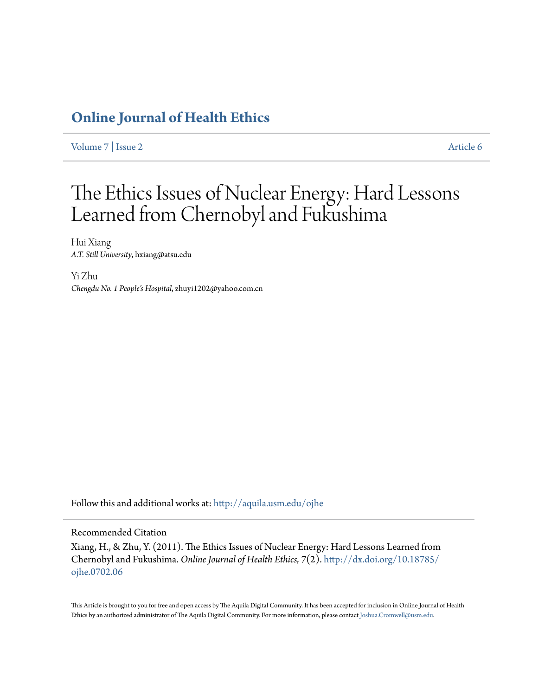### **[Online Journal of Health Ethics](http://aquila.usm.edu/ojhe?utm_source=aquila.usm.edu%2Fojhe%2Fvol7%2Fiss2%2F6&utm_medium=PDF&utm_campaign=PDFCoverPages)**

[Volume 7](http://aquila.usm.edu/ojhe/vol7?utm_source=aquila.usm.edu%2Fojhe%2Fvol7%2Fiss2%2F6&utm_medium=PDF&utm_campaign=PDFCoverPages) | [Issue 2](http://aquila.usm.edu/ojhe/vol7/iss2?utm_source=aquila.usm.edu%2Fojhe%2Fvol7%2Fiss2%2F6&utm_medium=PDF&utm_campaign=PDFCoverPages) [Article 6](http://aquila.usm.edu/ojhe/vol7/iss2/6?utm_source=aquila.usm.edu%2Fojhe%2Fvol7%2Fiss2%2F6&utm_medium=PDF&utm_campaign=PDFCoverPages)

## The Ethics Issues of Nuclear Energy: Hard Lessons Learned from Chernobyl and Fukushima

Hui Xiang *A.T. Still University*, hxiang@atsu.edu

Yi Zhu *Chengdu No. 1 People's Hospital*, zhuyi1202@yahoo.com.cn

Follow this and additional works at: [http://aquila.usm.edu/ojhe](http://aquila.usm.edu/ojhe?utm_source=aquila.usm.edu%2Fojhe%2Fvol7%2Fiss2%2F6&utm_medium=PDF&utm_campaign=PDFCoverPages)

#### Recommended Citation

Xiang, H., & Zhu, Y. (2011). The Ethics Issues of Nuclear Energy: Hard Lessons Learned from Chernobyl and Fukushima. *Online Journal of Health Ethics, 7*(2). [http://dx.doi.org/10.18785/](http://dx.doi.org/10.18785/ojhe.0702.06) [ojhe.0702.06](http://dx.doi.org/10.18785/ojhe.0702.06)

This Article is brought to you for free and open access by The Aquila Digital Community. It has been accepted for inclusion in Online Journal of Health Ethics by an authorized administrator of The Aquila Digital Community. For more information, please contact [Joshua.Cromwell@usm.edu.](mailto:Joshua.Cromwell@usm.edu)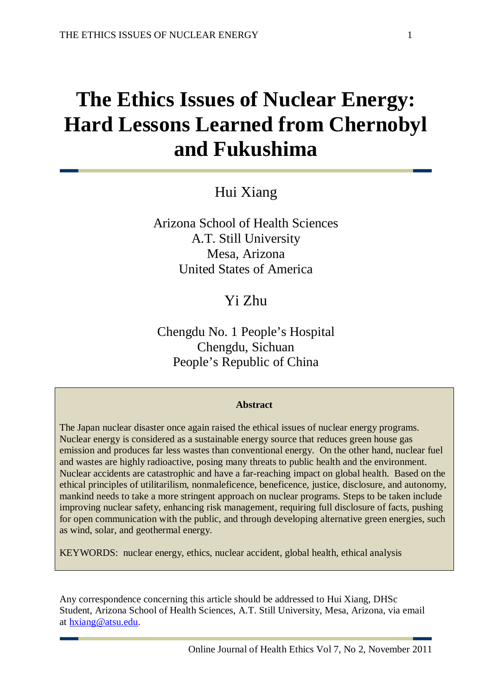# **The Ethics Issues of Nuclear Energy: Hard Lessons Learned from Chernobyl and Fukushima**

Hui Xiang

Arizona School of Health Sciences A.T. Still University Mesa, Arizona United States of America

Yi Zhu

Chengdu No. 1 People's Hospital Chengdu, Sichuan People's Republic of China

#### **Abstract**

The Japan nuclear disaster once again raised the ethical issues of nuclear energy programs. Nuclear energy is considered as a sustainable energy source that reduces green house gas emission and produces far less wastes than conventional energy. On the other hand, nuclear fuel and wastes are highly radioactive, posing many threats to public health and the environment. Nuclear accidents are catastrophic and have a far-reaching impact on global health. Based on the ethical principles of utilitarilism, nonmaleficence, beneficence, justice, disclosure, and autonomy, mankind needs to take a more stringent approach on nuclear programs. Steps to be taken include improving nuclear safety, enhancing risk management, requiring full disclosure of facts, pushing for open communication with the public, and through developing alternative green energies, such as wind, solar, and geothermal energy.

KEYWORDS: nuclear energy, ethics, nuclear accident, global health, ethical analysis

Any correspondence concerning this article should be addressed to Hui Xiang, DHSc Student, Arizona School of Health Sciences, A.T. Still University, Mesa, Arizona, via email at [hxiang@atsu.edu.](mailto:hxiang@atsu.edu)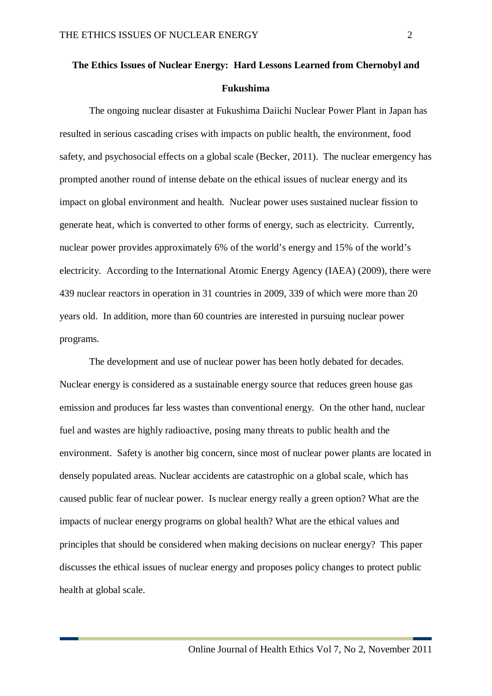## **The Ethics Issues of Nuclear Energy: Hard Lessons Learned from Chernobyl and Fukushima**

The ongoing nuclear disaster at Fukushima Daiichi Nuclear Power Plant in Japan has resulted in serious cascading crises with impacts on public health, the environment, food safety, and psychosocial effects on a global scale (Becker, 2011). The nuclear emergency has prompted another round of intense debate on the ethical issues of nuclear energy and its impact on global environment and health. Nuclear power uses sustained nuclear fission to generate heat, which is converted to other forms of energy, such as electricity. Currently, nuclear power provides approximately 6% of the world's energy and 15% of the world's electricity. According to the International Atomic Energy Agency (IAEA) (2009), there were 439 nuclear reactors in operation in 31 countries in 2009, 339 of which were more than 20 years old. In addition, more than 60 countries are interested in pursuing nuclear power programs.

The development and use of nuclear power has been hotly debated for decades. Nuclear energy is considered as a sustainable energy source that reduces green house gas emission and produces far less wastes than conventional energy. On the other hand, nuclear fuel and wastes are highly radioactive, posing many threats to public health and the environment. Safety is another big concern, since most of nuclear power plants are located in densely populated areas. Nuclear accidents are catastrophic on a global scale, which has caused public fear of nuclear power. Is nuclear energy really a green option? What are the impacts of nuclear energy programs on global health? What are the ethical values and principles that should be considered when making decisions on nuclear energy? This paper discusses the ethical issues of nuclear energy and proposes policy changes to protect public health at global scale.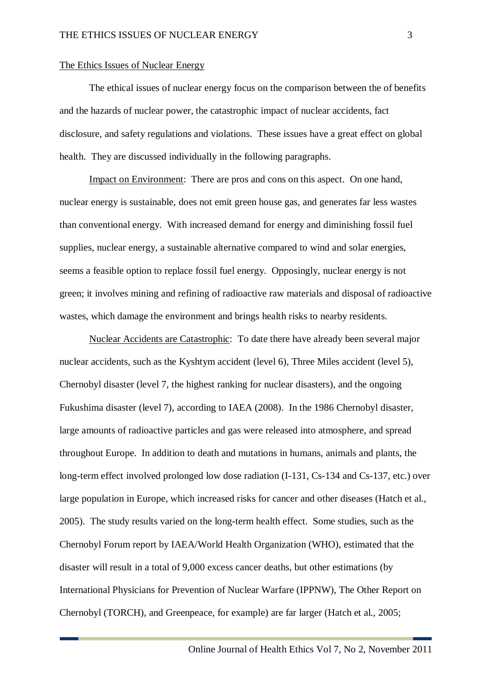#### The Ethics Issues of Nuclear Energy

The ethical issues of nuclear energy focus on the comparison between the of benefits and the hazards of nuclear power, the catastrophic impact of nuclear accidents, fact disclosure, and safety regulations and violations. These issues have a great effect on global health. They are discussed individually in the following paragraphs.

Impact on Environment: There are pros and cons on this aspect. On one hand, nuclear energy is sustainable, does not emit green house gas, and generates far less wastes than conventional energy. With increased demand for energy and diminishing fossil fuel supplies, nuclear energy, a sustainable alternative compared to wind and solar energies, seems a feasible option to replace fossil fuel energy. Opposingly, nuclear energy is not green; it involves mining and refining of radioactive raw materials and disposal of radioactive wastes, which damage the environment and brings health risks to nearby residents.

Nuclear Accidents are Catastrophic: To date there have already been several major nuclear accidents, such as the Kyshtym accident (level 6), Three Miles accident (level 5), Chernobyl disaster (level 7, the highest ranking for nuclear disasters), and the ongoing Fukushima disaster (level 7), according to IAEA (2008). In the 1986 Chernobyl disaster, large amounts of radioactive particles and gas were released into atmosphere, and spread throughout Europe. In addition to death and mutations in humans, animals and plants, the long-term effect involved prolonged low dose radiation (I-131, Cs-134 and Cs-137, etc.) over large population in Europe, which increased risks for cancer and other diseases (Hatch et al., 2005). The study results varied on the long-term health effect. Some studies, such as the Chernobyl Forum report by IAEA/World Health Organization (WHO), estimated that the disaster will result in a total of 9,000 excess cancer deaths, but other estimations (by International Physicians for Prevention of Nuclear Warfare (IPPNW), The Other Report on Chernobyl (TORCH), and Greenpeace, for example) are far larger (Hatch et al., 2005;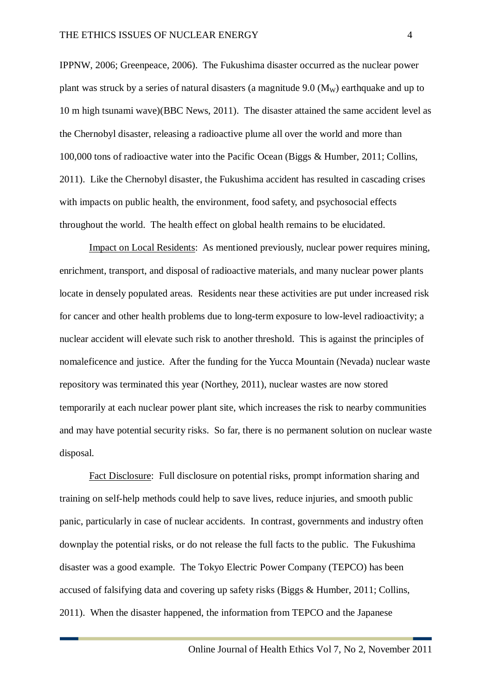IPPNW, 2006; Greenpeace, 2006). The Fukushima disaster occurred as the nuclear power plant was struck by a series of natural disasters (a magnitude  $9.0$  (M<sub>w</sub>) earthquake and up to 10 m high tsunami wave)(BBC News, 2011). The disaster attained the same accident level as the Chernobyl disaster, releasing a radioactive plume all over the world and more than 100,000 tons of radioactive water into the Pacific Ocean (Biggs & Humber, 2011; Collins, 2011). Like the Chernobyl disaster, the Fukushima accident has resulted in cascading crises with impacts on public health, the environment, food safety, and psychosocial effects throughout the world. The health effect on global health remains to be elucidated.

Impact on Local Residents: As mentioned previously, nuclear power requires mining, enrichment, transport, and disposal of radioactive materials, and many nuclear power plants locate in densely populated areas. Residents near these activities are put under increased risk for cancer and other health problems due to long-term exposure to low-level radioactivity; a nuclear accident will elevate such risk to another threshold. This is against the principles of nomaleficence and justice. After the funding for the Yucca Mountain (Nevada) nuclear waste repository was terminated this year (Northey, 2011), nuclear wastes are now stored temporarily at each nuclear power plant site, which increases the risk to nearby communities and may have potential security risks. So far, there is no permanent solution on nuclear waste disposal.

Fact Disclosure: Full disclosure on potential risks, prompt information sharing and training on self-help methods could help to save lives, reduce injuries, and smooth public panic, particularly in case of nuclear accidents. In contrast, governments and industry often downplay the potential risks, or do not release the full facts to the public. The Fukushima disaster was a good example. The Tokyo Electric Power Company (TEPCO) has been accused of falsifying data and covering up safety risks (Biggs & Humber, 2011; Collins, 2011). When the disaster happened, the information from TEPCO and the Japanese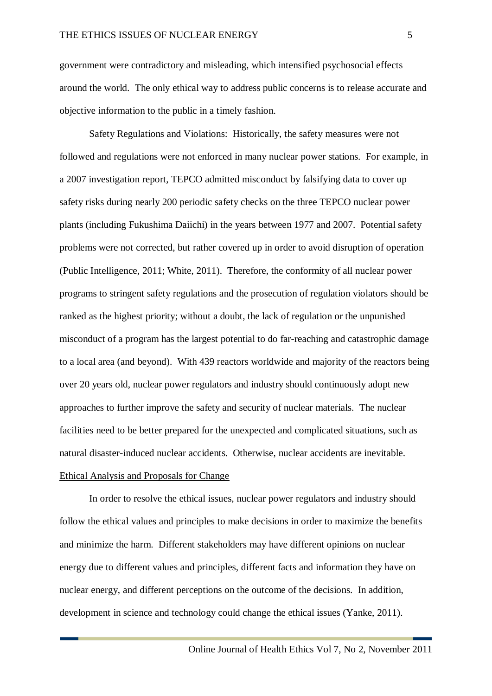government were contradictory and misleading, which intensified psychosocial effects around the world. The only ethical way to address public concerns is to release accurate and objective information to the public in a timely fashion.

Safety Regulations and Violations: Historically, the safety measures were not followed and regulations were not enforced in many nuclear power stations. For example, in a 2007 investigation report, TEPCO admitted misconduct by falsifying data to cover up safety risks during nearly 200 periodic safety checks on the three TEPCO nuclear power plants (including Fukushima Daiichi) in the years between 1977 and 2007. Potential safety problems were not corrected, but rather covered up in order to avoid disruption of operation (Public Intelligence, 2011; White, 2011). Therefore, the conformity of all nuclear power programs to stringent safety regulations and the prosecution of regulation violators should be ranked as the highest priority; without a doubt, the lack of regulation or the unpunished misconduct of a program has the largest potential to do far-reaching and catastrophic damage to a local area (and beyond). With 439 reactors worldwide and majority of the reactors being over 20 years old, nuclear power regulators and industry should continuously adopt new approaches to further improve the safety and security of nuclear materials. The nuclear facilities need to be better prepared for the unexpected and complicated situations, such as natural disaster-induced nuclear accidents. Otherwise, nuclear accidents are inevitable. Ethical Analysis and Proposals for Change

In order to resolve the ethical issues, nuclear power regulators and industry should follow the ethical values and principles to make decisions in order to maximize the benefits and minimize the harm. Different stakeholders may have different opinions on nuclear energy due to different values and principles, different facts and information they have on nuclear energy, and different perceptions on the outcome of the decisions. In addition, development in science and technology could change the ethical issues (Yanke, 2011).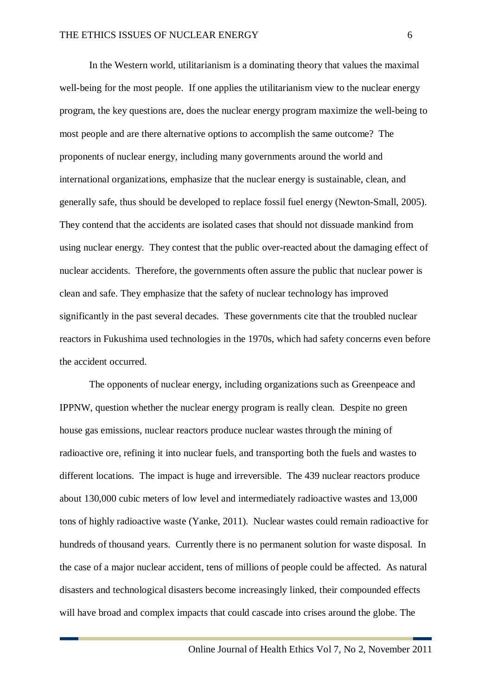In the Western world, utilitarianism is a dominating theory that values the maximal well-being for the most people. If one applies the utilitarianism view to the nuclear energy program, the key questions are, does the nuclear energy program maximize the well-being to most people and are there alternative options to accomplish the same outcome? The proponents of nuclear energy, including many governments around the world and international organizations, emphasize that the nuclear energy is sustainable, clean, and generally safe, thus should be developed to replace fossil fuel energy (Newton-Small, 2005). They contend that the accidents are isolated cases that should not dissuade mankind from using nuclear energy. They contest that the public over-reacted about the damaging effect of nuclear accidents. Therefore, the governments often assure the public that nuclear power is clean and safe. They emphasize that the safety of nuclear technology has improved significantly in the past several decades. These governments cite that the troubled nuclear reactors in Fukushima used technologies in the 1970s, which had safety concerns even before the accident occurred.

The opponents of nuclear energy, including organizations such as Greenpeace and IPPNW, question whether the nuclear energy program is really clean. Despite no green house gas emissions, nuclear reactors produce nuclear wastes through the mining of radioactive ore, refining it into nuclear fuels, and transporting both the fuels and wastes to different locations. The impact is huge and irreversible. The 439 nuclear reactors produce about 130,000 cubic meters of low level and intermediately radioactive wastes and 13,000 tons of highly radioactive waste (Yanke, 2011). Nuclear wastes could remain radioactive for hundreds of thousand years. Currently there is no permanent solution for waste disposal. In the case of a major nuclear accident, tens of millions of people could be affected. As natural disasters and technological disasters become increasingly linked, their compounded effects will have broad and complex impacts that could cascade into crises around the globe. The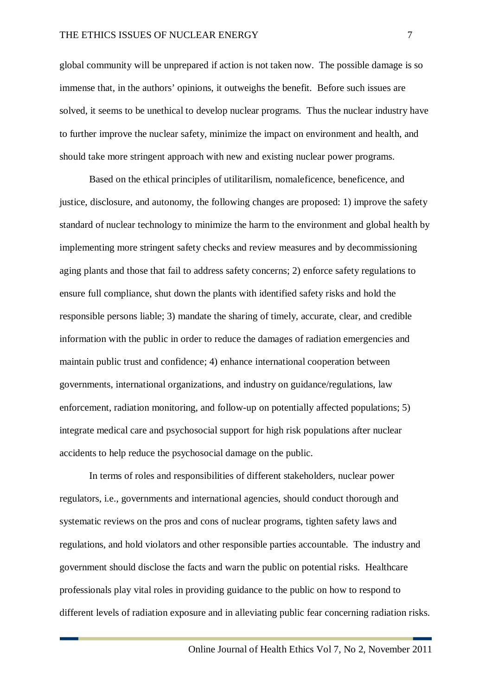global community will be unprepared if action is not taken now. The possible damage is so immense that, in the authors' opinions, it outweighs the benefit. Before such issues are solved, it seems to be unethical to develop nuclear programs. Thus the nuclear industry have to further improve the nuclear safety, minimize the impact on environment and health, and should take more stringent approach with new and existing nuclear power programs.

Based on the ethical principles of utilitarilism, nomaleficence, beneficence, and justice, disclosure, and autonomy, the following changes are proposed: 1) improve the safety standard of nuclear technology to minimize the harm to the environment and global health by implementing more stringent safety checks and review measures and by decommissioning aging plants and those that fail to address safety concerns; 2) enforce safety regulations to ensure full compliance, shut down the plants with identified safety risks and hold the responsible persons liable; 3) mandate the sharing of timely, accurate, clear, and credible information with the public in order to reduce the damages of radiation emergencies and maintain public trust and confidence; 4) enhance international cooperation between governments, international organizations, and industry on guidance/regulations, law enforcement, radiation monitoring, and follow-up on potentially affected populations; 5) integrate medical care and psychosocial support for high risk populations after nuclear accidents to help reduce the psychosocial damage on the public.

In terms of roles and responsibilities of different stakeholders, nuclear power regulators, i.e., governments and international agencies, should conduct thorough and systematic reviews on the pros and cons of nuclear programs, tighten safety laws and regulations, and hold violators and other responsible parties accountable. The industry and government should disclose the facts and warn the public on potential risks. Healthcare professionals play vital roles in providing guidance to the public on how to respond to different levels of radiation exposure and in alleviating public fear concerning radiation risks.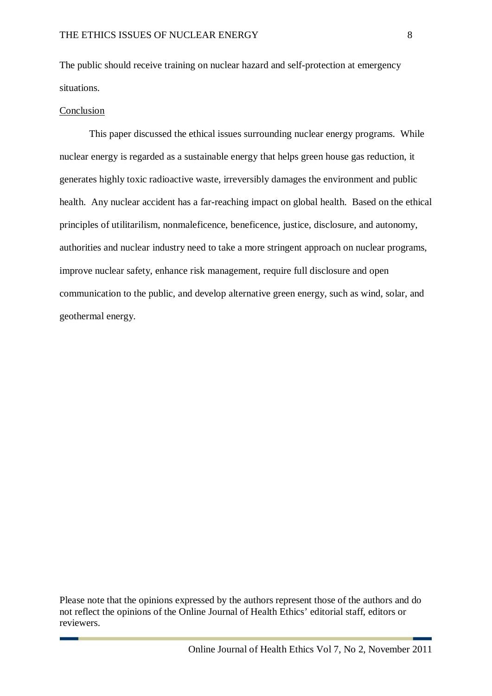The public should receive training on nuclear hazard and self-protection at emergency situations.

#### Conclusion

This paper discussed the ethical issues surrounding nuclear energy programs. While nuclear energy is regarded as a sustainable energy that helps green house gas reduction, it generates highly toxic radioactive waste, irreversibly damages the environment and public health. Any nuclear accident has a far-reaching impact on global health. Based on the ethical principles of utilitarilism, nonmaleficence, beneficence, justice, disclosure, and autonomy, authorities and nuclear industry need to take a more stringent approach on nuclear programs, improve nuclear safety, enhance risk management, require full disclosure and open communication to the public, and develop alternative green energy, such as wind, solar, and geothermal energy.

Please note that the opinions expressed by the authors represent those of the authors and do not reflect the opinions of the Online Journal of Health Ethics' editorial staff, editors or reviewers.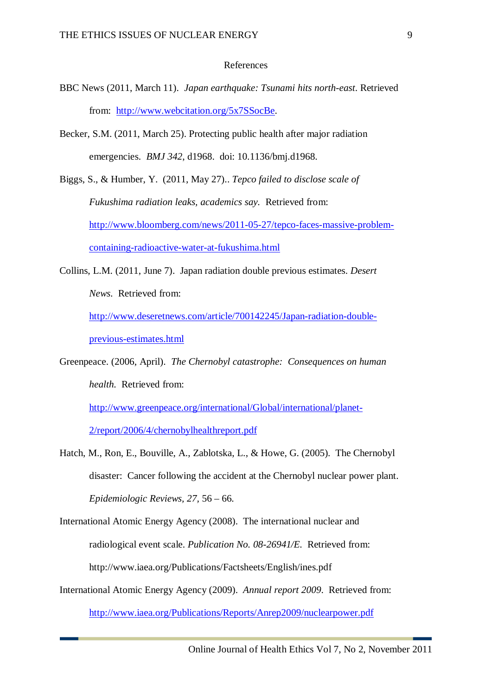#### References

- BBC News (2011, March 11). *Japan earthquake: Tsunami hits north-east*. Retrieved from: [http://www.webcitation.org/5x7SSocBe.](http://www.webcitation.org/5x7SSocBe)
- Becker, S.M. (2011, March 25). Protecting public health after major radiation emergencies. *BMJ 342*, d1968. doi: 10.1136/bmj.d1968.
- Biggs, S., & Humber, Y. (2011, May 27).. *Tepco failed to disclose scale of Fukushima radiation leaks, academics say.* Retrieved from: [http://www.bloomberg.com/news/2011-05-27/tepco-faces-massive-problem](http://www.bloomberg.com/news/2011-05-27/tepco-faces-massive-problem-containing-radioactive-water-at-fukushima.html)[containing-radioactive-water-at-fukushima.html](http://www.bloomberg.com/news/2011-05-27/tepco-faces-massive-problem-containing-radioactive-water-at-fukushima.html)
- Collins, L.M. (2011, June 7). Japan radiation double previous estimates. *Desert News*. Retrieved from: [http://www.deseretnews.com/article/700142245/Japan-radiation-double](http://www.deseretnews.com/article/700142245/Japan-radiation-double-previous-estimates.html)[previous-estimates.html](http://www.deseretnews.com/article/700142245/Japan-radiation-double-previous-estimates.html)
- Greenpeace. (2006, April). *The Chernobyl catastrophe: Consequences on human health.* Retrieved from:

[http://www.greenpeace.org/international/Global/international/planet-](http://www.greenpeace.org/international/Global/international/planet-2/report/2006/4/chernobylhealthreport.pdf)[2/report/2006/4/chernobylhealthreport.pdf](http://www.greenpeace.org/international/Global/international/planet-2/report/2006/4/chernobylhealthreport.pdf)

- Hatch, M., Ron, E., Bouville, A., Zablotska, L., & Howe, G. (2005). The Chernobyl disaster: Cancer following the accident at the Chernobyl nuclear power plant. *Epidemiologic Reviews, 27,* 56 – 66.
- International Atomic Energy Agency (2008). The international nuclear and radiological event scale. *Publication No. 08-26941/E.* Retrieved from: http://www.iaea.org/Publications/Factsheets/English/ines.pdf
- International Atomic Energy Agency (2009). *Annual report 2009*. Retrieved from: <http://www.iaea.org/Publications/Reports/Anrep2009/nuclearpower.pdf>